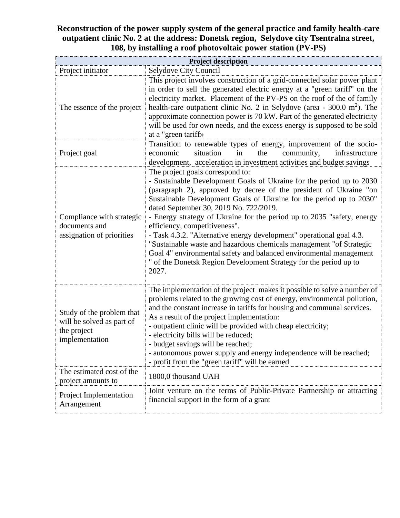## **Reconstruction of the power supply system of the general practice and family health-care outpatient clinic No. 2 at the address: Donetsk region, Selydove city Tsentralna street, 108, by installing a roof photovoltaic power station (PV-PS)**

| <b>Project description</b>                                                              |                                                                                                                                                                                                                                                                                                                                                                                                                                                                                                                                                                                                                                                                                                              |  |  |  |  |  |  |
|-----------------------------------------------------------------------------------------|--------------------------------------------------------------------------------------------------------------------------------------------------------------------------------------------------------------------------------------------------------------------------------------------------------------------------------------------------------------------------------------------------------------------------------------------------------------------------------------------------------------------------------------------------------------------------------------------------------------------------------------------------------------------------------------------------------------|--|--|--|--|--|--|
| Project initiator                                                                       | Selydove City Council                                                                                                                                                                                                                                                                                                                                                                                                                                                                                                                                                                                                                                                                                        |  |  |  |  |  |  |
| The essence of the project                                                              | This project involves construction of a grid-connected solar power plant<br>in order to sell the generated electric energy at a "green tariff" on the<br>electricity market. Placement of the PV-PS on the roof of the of family<br>health-care outpatient clinic No. 2 in Selydove (area - $300.0 \text{ m}^2$ ). The<br>approximate connection power is 70 kW. Part of the generated electricity<br>will be used for own needs, and the excess energy is supposed to be sold<br>at a "green tariff»                                                                                                                                                                                                        |  |  |  |  |  |  |
| Project goal                                                                            | Transition to renewable types of energy, improvement of the socio-<br>situation<br>community,<br>economic<br>in<br>the<br>infrastructure<br>development, acceleration in investment activities and budget savings                                                                                                                                                                                                                                                                                                                                                                                                                                                                                            |  |  |  |  |  |  |
| Compliance with strategic<br>documents and<br>assignation of priorities                 | The project goals correspond to:<br>- Sustainable Development Goals of Ukraine for the period up to 2030<br>(paragraph 2), approved by decree of the president of Ukraine "on<br>Sustainable Development Goals of Ukraine for the period up to 2030"<br>dated September 30, 2019 No. 722/2019.<br>- Energy strategy of Ukraine for the period up to 2035 "safety, energy<br>efficiency, competitiveness".<br>- Task 4.3.2. "Alternative energy development" operational goal 4.3.<br>"Sustainable waste and hazardous chemicals management "of Strategic<br>Goal 4" environmental safety and balanced environmental management<br>" of the Donetsk Region Development Strategy for the period up to<br>2027. |  |  |  |  |  |  |
| Study of the problem that<br>will be solved as part of<br>the project<br>implementation | The implementation of the project makes it possible to solve a number of<br>problems related to the growing cost of energy, environmental pollution,<br>and the constant increase in tariffs for housing and communal services.<br>As a result of the project implementation:<br>- outpatient clinic will be provided with cheap electricity;<br>- electricity bills will be reduced;<br>- budget savings will be reached;<br>- autonomous power supply and energy independence will be reached;<br>- profit from the "green tariff" will be earned                                                                                                                                                          |  |  |  |  |  |  |
| The estimated cost of the<br>project amounts to                                         | 1800,0 thousand UAH                                                                                                                                                                                                                                                                                                                                                                                                                                                                                                                                                                                                                                                                                          |  |  |  |  |  |  |
| Project Implementation<br>Arrangement                                                   | Joint venture on the terms of Public-Private Partnership or attracting<br>financial support in the form of a grant                                                                                                                                                                                                                                                                                                                                                                                                                                                                                                                                                                                           |  |  |  |  |  |  |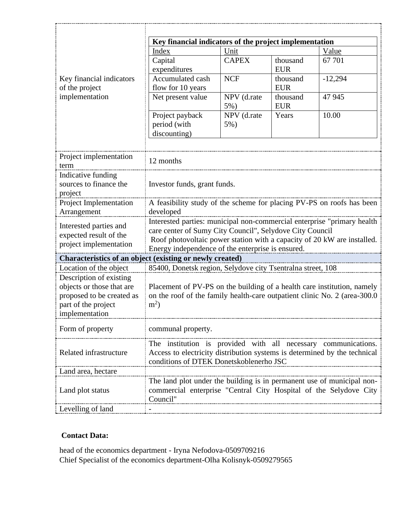|                                                                                                                            | Key financial indicators of the project implementation                                                                                                                                                                                                              |                                      |                        |           |  |  |  |
|----------------------------------------------------------------------------------------------------------------------------|---------------------------------------------------------------------------------------------------------------------------------------------------------------------------------------------------------------------------------------------------------------------|--------------------------------------|------------------------|-----------|--|--|--|
|                                                                                                                            | Index<br>Unit                                                                                                                                                                                                                                                       |                                      |                        | Value     |  |  |  |
|                                                                                                                            | Capital<br>expenditures                                                                                                                                                                                                                                             | <b>CAPEX</b>                         | thousand<br><b>EUR</b> | 67 701    |  |  |  |
| Key financial indicators<br>of the project                                                                                 | Accumulated cash<br>flow for 10 years                                                                                                                                                                                                                               | <b>NCF</b><br>thousand<br><b>EUR</b> |                        | $-12,294$ |  |  |  |
| implementation                                                                                                             | Net present value                                                                                                                                                                                                                                                   | NPV (d.rate<br>$5%$ )                | thousand<br><b>EUR</b> | 47 945    |  |  |  |
|                                                                                                                            | Project payback<br>period (with<br>discounting)                                                                                                                                                                                                                     | NPV (d.rate<br>$5%$ )                | Years                  | 10.00     |  |  |  |
| Project implementation<br>term                                                                                             | 12 months                                                                                                                                                                                                                                                           |                                      |                        |           |  |  |  |
| Indicative funding<br>sources to finance the<br>project                                                                    | Investor funds, grant funds.                                                                                                                                                                                                                                        |                                      |                        |           |  |  |  |
| Project Implementation<br>Arrangement                                                                                      | A feasibility study of the scheme for placing PV-PS on roofs has been<br>developed                                                                                                                                                                                  |                                      |                        |           |  |  |  |
| Interested parties and<br>expected result of the<br>project implementation                                                 | Interested parties: municipal non-commercial enterprise "primary health<br>care center of Sumy City Council", Selydove City Council<br>Roof photovoltaic power station with a capacity of 20 kW are installed.<br>Energy independence of the enterprise is ensured. |                                      |                        |           |  |  |  |
| Characteristics of an object (existing or newly created)                                                                   |                                                                                                                                                                                                                                                                     |                                      |                        |           |  |  |  |
| Location of the object                                                                                                     | 85400, Donetsk region, Selydove city Tsentralna street, 108                                                                                                                                                                                                         |                                      |                        |           |  |  |  |
| Description of existing<br>objects or those that are<br>proposed to be created as<br>part of the project<br>implementation | Placement of PV-PS on the building of a health care institution, namely<br>on the roof of the family health-care outpatient clinic No. 2 (area-300.0)<br>$m^2$ )                                                                                                    |                                      |                        |           |  |  |  |
| Form of property                                                                                                           | communal property.                                                                                                                                                                                                                                                  |                                      |                        |           |  |  |  |
| Related infrastructure                                                                                                     | The institution is provided with all necessary communications.<br>Access to electricity distribution systems is determined by the technical<br>conditions of DTEK Donetskoblenerho JSC                                                                              |                                      |                        |           |  |  |  |
| Land area, hectare                                                                                                         |                                                                                                                                                                                                                                                                     |                                      |                        |           |  |  |  |
| Land plot status                                                                                                           | The land plot under the building is in permanent use of municipal non-<br>commercial enterprise "Central City Hospital of the Selydove City<br>Council"                                                                                                             |                                      |                        |           |  |  |  |
| evelling of land.                                                                                                          |                                                                                                                                                                                                                                                                     |                                      |                        |           |  |  |  |

## **Contact Data:**

head of the economics department - Iryna Nefodova-0509709216 Chief Specialist of the economics department-Olha Kolisnyk-0509279565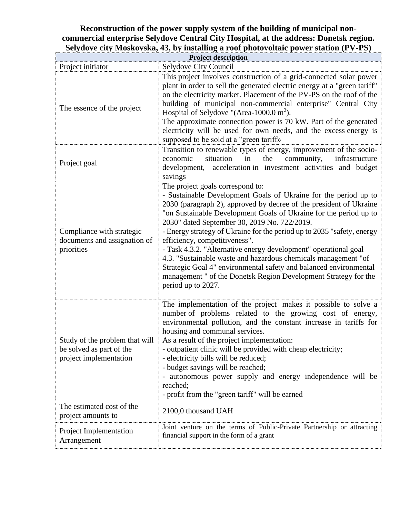## **Reconstruction of the power supply system of the building of municipal noncommercial enterprise Selydove Central City Hospital, at the address: Donetsk region. Selydove city Moskovska, 43, by installing a roof photovoltaic power station (PV-PS)**

| <b>Project description</b>                                                           |                                                                                                                                                                                                                                                                                                                                                                                                                                                                                                                                                                                                                                                                                                              |  |  |  |  |  |  |
|--------------------------------------------------------------------------------------|--------------------------------------------------------------------------------------------------------------------------------------------------------------------------------------------------------------------------------------------------------------------------------------------------------------------------------------------------------------------------------------------------------------------------------------------------------------------------------------------------------------------------------------------------------------------------------------------------------------------------------------------------------------------------------------------------------------|--|--|--|--|--|--|
| Project initiator                                                                    | Selydove City Council                                                                                                                                                                                                                                                                                                                                                                                                                                                                                                                                                                                                                                                                                        |  |  |  |  |  |  |
| The essence of the project                                                           | This project involves construction of a grid-connected solar power<br>plant in order to sell the generated electric energy at a "green tariff"<br>on the electricity market. Placement of the PV-PS on the roof of the<br>building of municipal non-commercial enterprise" Central City<br>Hospital of Selydove "(Area-1000.0 m <sup>2</sup> ).<br>The approximate connection power is 70 kW. Part of the generated<br>electricity will be used for own needs, and the excess energy is<br>supposed to be sold at a "green tariff»                                                                                                                                                                           |  |  |  |  |  |  |
| Project goal                                                                         | Transition to renewable types of energy, improvement of the socio-<br>situation<br>community,<br>economic<br>in<br>the<br>infrastructure<br>acceleration in investment activities and budget<br>development,<br>savings                                                                                                                                                                                                                                                                                                                                                                                                                                                                                      |  |  |  |  |  |  |
| Compliance with strategic<br>documents and assignation of<br>priorities              | The project goals correspond to:<br>- Sustainable Development Goals of Ukraine for the period up to<br>2030 (paragraph 2), approved by decree of the president of Ukraine<br>"on Sustainable Development Goals of Ukraine for the period up to<br>2030" dated September 30, 2019 No. 722/2019.<br>- Energy strategy of Ukraine for the period up to 2035 "safety, energy<br>efficiency, competitiveness".<br>- Task 4.3.2. "Alternative energy development" operational goal<br>4.3. "Sustainable waste and hazardous chemicals management "of<br>Strategic Goal 4" environmental safety and balanced environmental<br>management " of the Donetsk Region Development Strategy for the<br>period up to 2027. |  |  |  |  |  |  |
| Study of the problem that will<br>be solved as part of the<br>project implementation | The implementation of the project makes it possible to solve a<br>number of problems related to the growing cost of energy,<br>environmental pollution, and the constant increase in tariffs for<br>housing and communal services.<br>As a result of the project implementation:<br>- outpatient clinic will be provided with cheap electricity;<br>- electricity bills will be reduced;<br>- budget savings will be reached;<br>autonomous power supply and energy independence will be<br>reached;<br>- profit from the "green tariff" will be earned                                                                                                                                                      |  |  |  |  |  |  |
| The estimated cost of the<br>project amounts to                                      | 2100,0 thousand UAH                                                                                                                                                                                                                                                                                                                                                                                                                                                                                                                                                                                                                                                                                          |  |  |  |  |  |  |
| Project Implementation<br>Arrangement                                                | Joint venture on the terms of Public-Private Partnership or attracting<br>financial support in the form of a grant                                                                                                                                                                                                                                                                                                                                                                                                                                                                                                                                                                                           |  |  |  |  |  |  |